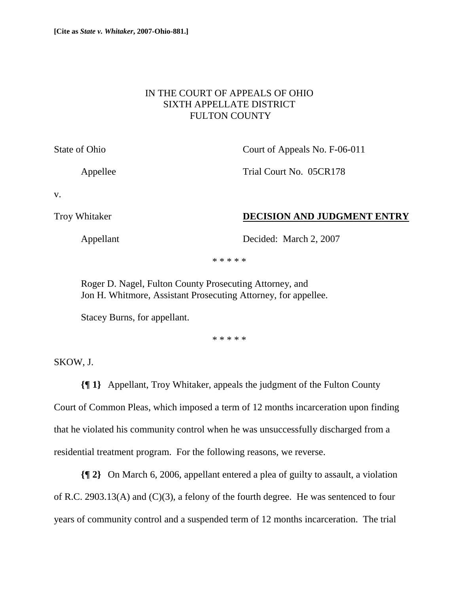## IN THE COURT OF APPEALS OF OHIO SIXTH APPELLATE DISTRICT FULTON COUNTY

State of Ohio Court of Appeals No. F-06-011

Appellee Trial Court No. 05CR178

v.

## Troy Whitaker **DECISION AND JUDGMENT ENTRY**

Appellant Decided: March 2, 2007

\* \* \* \* \*

 Roger D. Nagel, Fulton County Prosecuting Attorney, and Jon H. Whitmore, Assistant Prosecuting Attorney, for appellee.

Stacey Burns, for appellant.

\* \* \* \* \*

SKOW, J.

**{¶ 1}** Appellant, Troy Whitaker, appeals the judgment of the Fulton County Court of Common Pleas, which imposed a term of 12 months incarceration upon finding that he violated his community control when he was unsuccessfully discharged from a residential treatment program. For the following reasons, we reverse.

**{¶ 2}** On March 6, 2006, appellant entered a plea of guilty to assault, a violation of R.C. 2903.13(A) and (C)(3), a felony of the fourth degree. He was sentenced to four years of community control and a suspended term of 12 months incarceration. The trial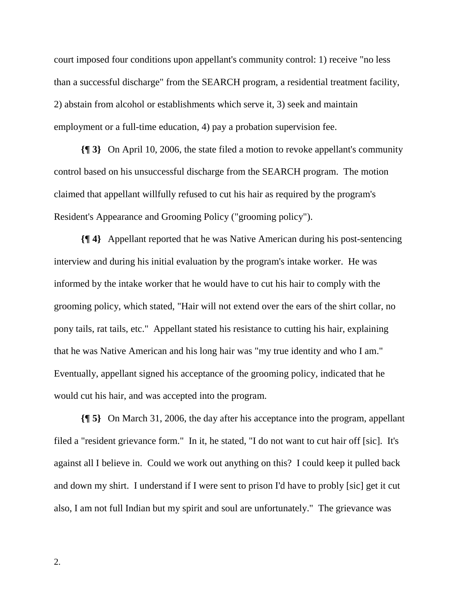court imposed four conditions upon appellant's community control: 1) receive "no less than a successful discharge" from the SEARCH program, a residential treatment facility, 2) abstain from alcohol or establishments which serve it, 3) seek and maintain employment or a full-time education, 4) pay a probation supervision fee.

**{¶ 3}** On April 10, 2006, the state filed a motion to revoke appellant's community control based on his unsuccessful discharge from the SEARCH program. The motion claimed that appellant willfully refused to cut his hair as required by the program's Resident's Appearance and Grooming Policy ("grooming policy").

**{¶ 4}** Appellant reported that he was Native American during his post-sentencing interview and during his initial evaluation by the program's intake worker. He was informed by the intake worker that he would have to cut his hair to comply with the grooming policy, which stated, "Hair will not extend over the ears of the shirt collar, no pony tails, rat tails, etc." Appellant stated his resistance to cutting his hair, explaining that he was Native American and his long hair was "my true identity and who I am." Eventually, appellant signed his acceptance of the grooming policy, indicated that he would cut his hair, and was accepted into the program.

**{¶ 5}** On March 31, 2006, the day after his acceptance into the program, appellant filed a "resident grievance form." In it, he stated, "I do not want to cut hair off [sic]. It's against all I believe in. Could we work out anything on this? I could keep it pulled back and down my shirt. I understand if I were sent to prison I'd have to probly [sic] get it cut also, I am not full Indian but my spirit and soul are unfortunately." The grievance was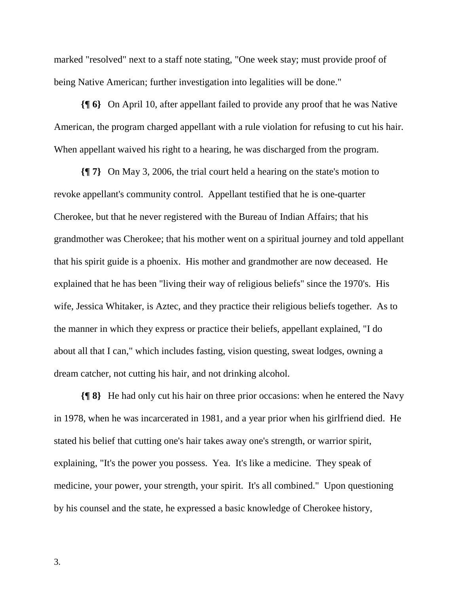marked "resolved" next to a staff note stating, "One week stay; must provide proof of being Native American; further investigation into legalities will be done."

**{¶ 6}** On April 10, after appellant failed to provide any proof that he was Native American, the program charged appellant with a rule violation for refusing to cut his hair. When appellant waived his right to a hearing, he was discharged from the program.

**{¶ 7}** On May 3, 2006, the trial court held a hearing on the state's motion to revoke appellant's community control. Appellant testified that he is one-quarter Cherokee, but that he never registered with the Bureau of Indian Affairs; that his grandmother was Cherokee; that his mother went on a spiritual journey and told appellant that his spirit guide is a phoenix. His mother and grandmother are now deceased. He explained that he has been "living their way of religious beliefs" since the 1970's. His wife, Jessica Whitaker, is Aztec, and they practice their religious beliefs together. As to the manner in which they express or practice their beliefs, appellant explained, "I do about all that I can," which includes fasting, vision questing, sweat lodges, owning a dream catcher, not cutting his hair, and not drinking alcohol.

**{¶ 8}** He had only cut his hair on three prior occasions: when he entered the Navy in 1978, when he was incarcerated in 1981, and a year prior when his girlfriend died. He stated his belief that cutting one's hair takes away one's strength, or warrior spirit, explaining, "It's the power you possess. Yea. It's like a medicine. They speak of medicine, your power, your strength, your spirit. It's all combined." Upon questioning by his counsel and the state, he expressed a basic knowledge of Cherokee history,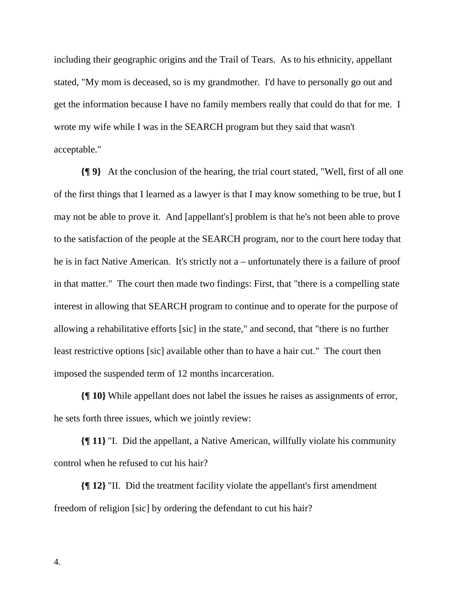including their geographic origins and the Trail of Tears. As to his ethnicity, appellant stated, "My mom is deceased, so is my grandmother. I'd have to personally go out and get the information because I have no family members really that could do that for me. I wrote my wife while I was in the SEARCH program but they said that wasn't acceptable."

**{¶ 9}** At the conclusion of the hearing, the trial court stated, "Well, first of all one of the first things that I learned as a lawyer is that I may know something to be true, but I may not be able to prove it. And [appellant's] problem is that he's not been able to prove to the satisfaction of the people at the SEARCH program, nor to the court here today that he is in fact Native American. It's strictly not a – unfortunately there is a failure of proof in that matter." The court then made two findings: First, that "there is a compelling state interest in allowing that SEARCH program to continue and to operate for the purpose of allowing a rehabilitative efforts [sic] in the state," and second, that "there is no further least restrictive options [sic] available other than to have a hair cut." The court then imposed the suspended term of 12 months incarceration.

**{¶ 10}** While appellant does not label the issues he raises as assignments of error, he sets forth three issues, which we jointly review:

**{¶ 11}** "I. Did the appellant, a Native American, willfully violate his community control when he refused to cut his hair?

**{¶ 12}** "II. Did the treatment facility violate the appellant's first amendment freedom of religion [sic] by ordering the defendant to cut his hair?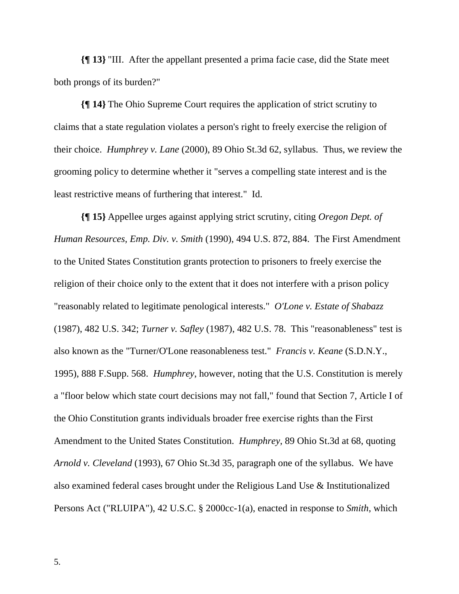**{¶ 13}** "III. After the appellant presented a prima facie case, did the State meet both prongs of its burden?"

**{¶ 14}** The Ohio Supreme Court requires the application of strict scrutiny to claims that a state regulation violates a person's right to freely exercise the religion of their choice. *Humphrey v. Lane* (2000), 89 Ohio St.3d 62, syllabus. Thus, we review the grooming policy to determine whether it "serves a compelling state interest and is the least restrictive means of furthering that interest." Id.

**{¶ 15}** Appellee urges against applying strict scrutiny, citing *Oregon Dept. of Human Resources, Emp. Div. v. Smith* (1990), 494 U.S. 872, 884. The First Amendment to the United States Constitution grants protection to prisoners to freely exercise the religion of their choice only to the extent that it does not interfere with a prison policy "reasonably related to legitimate penological interests." *O'Lone v. Estate of Shabazz* (1987), 482 U.S. 342; *Turner v. Safley* (1987), 482 U.S. 78. This "reasonableness" test is also known as the "Turner/O'Lone reasonableness test." *Francis v. Keane* (S.D.N.Y., 1995), 888 F.Supp. 568. *Humphrey*, however, noting that the U.S. Constitution is merely a "floor below which state court decisions may not fall," found that Section 7, Article I of the Ohio Constitution grants individuals broader free exercise rights than the First Amendment to the United States Constitution. *Humphrey*, 89 Ohio St.3d at 68, quoting *Arnold v. Cleveland* (1993), 67 Ohio St.3d 35, paragraph one of the syllabus. We have also examined federal cases brought under the Religious Land Use & Institutionalized Persons Act ("RLUIPA"), 42 U.S.C. § 2000cc-1(a), enacted in response to *Smith*, which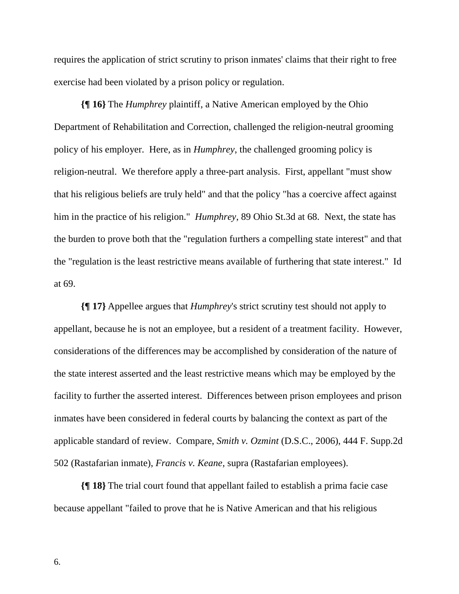requires the application of strict scrutiny to prison inmates' claims that their right to free exercise had been violated by a prison policy or regulation.

**{¶ 16}** The *Humphrey* plaintiff, a Native American employed by the Ohio Department of Rehabilitation and Correction, challenged the religion-neutral grooming policy of his employer. Here, as in *Humphrey*, the challenged grooming policy is religion-neutral. We therefore apply a three-part analysis. First, appellant "must show that his religious beliefs are truly held" and that the policy "has a coercive affect against him in the practice of his religion." *Humphrey*, 89 Ohio St.3d at 68. Next, the state has the burden to prove both that the "regulation furthers a compelling state interest" and that the "regulation is the least restrictive means available of furthering that state interest." Id at 69.

**{¶ 17}** Appellee argues that *Humphrey*'s strict scrutiny test should not apply to appellant, because he is not an employee, but a resident of a treatment facility. However, considerations of the differences may be accomplished by consideration of the nature of the state interest asserted and the least restrictive means which may be employed by the facility to further the asserted interest. Differences between prison employees and prison inmates have been considered in federal courts by balancing the context as part of the applicable standard of review. Compare, *Smith v. Ozmint* (D.S.C., 2006), 444 F. Supp.2d 502 (Rastafarian inmate), *Francis v. Keane*, supra (Rastafarian employees).

**{¶ 18}** The trial court found that appellant failed to establish a prima facie case because appellant "failed to prove that he is Native American and that his religious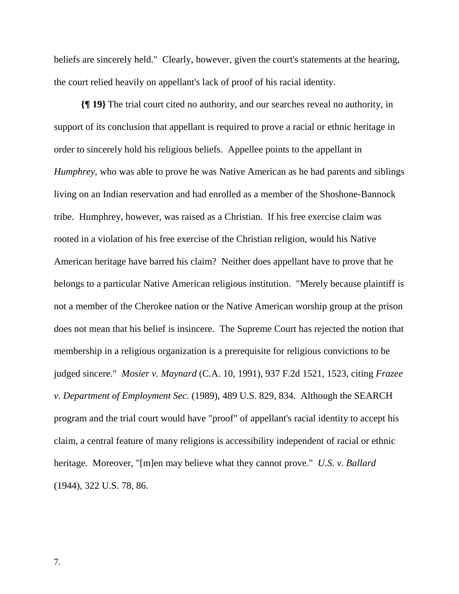beliefs are sincerely held." Clearly, however, given the court's statements at the hearing, the court relied heavily on appellant's lack of proof of his racial identity.

**{¶ 19}** The trial court cited no authority, and our searches reveal no authority, in support of its conclusion that appellant is required to prove a racial or ethnic heritage in order to sincerely hold his religious beliefs. Appellee points to the appellant in *Humphrey*, who was able to prove he was Native American as he had parents and siblings living on an Indian reservation and had enrolled as a member of the Shoshone-Bannock tribe. Humphrey, however, was raised as a Christian. If his free exercise claim was rooted in a violation of his free exercise of the Christian religion, would his Native American heritage have barred his claim? Neither does appellant have to prove that he belongs to a particular Native American religious institution. "Merely because plaintiff is not a member of the Cherokee nation or the Native American worship group at the prison does not mean that his belief is insincere. The Supreme Court has rejected the notion that membership in a religious organization is a prerequisite for religious convictions to be judged sincere." *Mosier v. Maynard* (C.A. 10, 1991), 937 F.2d 1521, 1523, citing *Frazee v. Department of Employment Sec.* (1989), 489 U.S. 829, 834. Although the SEARCH program and the trial court would have "proof" of appellant's racial identity to accept his claim, a central feature of many religions is accessibility independent of racial or ethnic heritage. Moreover, "[m]en may believe what they cannot prove." *U.S. v. Ballard* (1944), 322 U.S. 78, 86.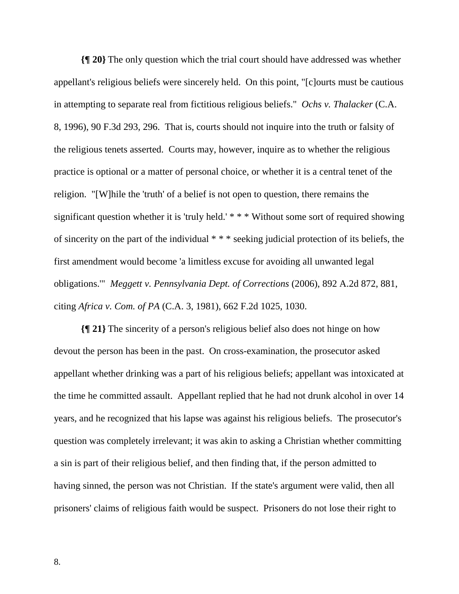**{¶ 20}** The only question which the trial court should have addressed was whether appellant's religious beliefs were sincerely held. On this point, "[c]ourts must be cautious in attempting to separate real from fictitious religious beliefs." *Ochs v. Thalacker* (C.A. 8, 1996), 90 F.3d 293, 296. That is, courts should not inquire into the truth or falsity of the religious tenets asserted. Courts may, however, inquire as to whether the religious practice is optional or a matter of personal choice, or whether it is a central tenet of the religion. "[W]hile the 'truth' of a belief is not open to question, there remains the significant question whether it is 'truly held.' \* \* \* Without some sort of required showing of sincerity on the part of the individual \* \* \* seeking judicial protection of its beliefs, the first amendment would become 'a limitless excuse for avoiding all unwanted legal obligations.'" *Meggett v. Pennsylvania Dept. of Corrections* (2006), 892 A.2d 872, 881, citing *Africa v. Com. of PA* (C.A. 3, 1981), 662 F.2d 1025, 1030.

**{¶ 21}** The sincerity of a person's religious belief also does not hinge on how devout the person has been in the past. On cross-examination, the prosecutor asked appellant whether drinking was a part of his religious beliefs; appellant was intoxicated at the time he committed assault. Appellant replied that he had not drunk alcohol in over 14 years, and he recognized that his lapse was against his religious beliefs. The prosecutor's question was completely irrelevant; it was akin to asking a Christian whether committing a sin is part of their religious belief, and then finding that, if the person admitted to having sinned, the person was not Christian. If the state's argument were valid, then all prisoners' claims of religious faith would be suspect. Prisoners do not lose their right to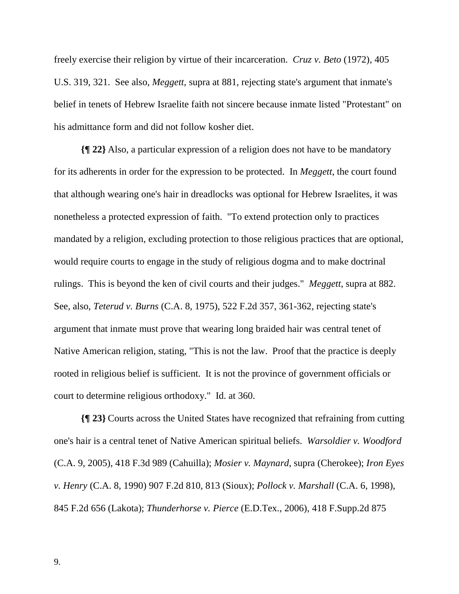freely exercise their religion by virtue of their incarceration. *Cruz v. Beto* (1972), 405 U.S. 319, 321. See also, *Meggett*, supra at 881, rejecting state's argument that inmate's belief in tenets of Hebrew Israelite faith not sincere because inmate listed "Protestant" on his admittance form and did not follow kosher diet.

**{¶ 22}** Also, a particular expression of a religion does not have to be mandatory for its adherents in order for the expression to be protected. In *Meggett*, the court found that although wearing one's hair in dreadlocks was optional for Hebrew Israelites, it was nonetheless a protected expression of faith. "To extend protection only to practices mandated by a religion, excluding protection to those religious practices that are optional, would require courts to engage in the study of religious dogma and to make doctrinal rulings. This is beyond the ken of civil courts and their judges." *Meggett*, supra at 882. See, also, *Teterud v. Burns* (C.A. 8, 1975), 522 F.2d 357, 361-362, rejecting state's argument that inmate must prove that wearing long braided hair was central tenet of Native American religion, stating, "This is not the law. Proof that the practice is deeply rooted in religious belief is sufficient. It is not the province of government officials or court to determine religious orthodoxy." Id. at 360.

**{¶ 23}** Courts across the United States have recognized that refraining from cutting one's hair is a central tenet of Native American spiritual beliefs. *Warsoldier v. Woodford* (C.A. 9, 2005), 418 F.3d 989 (Cahuilla); *Mosier v. Maynard*, supra (Cherokee); *Iron Eyes v. Henry* (C.A. 8, 1990) 907 F.2d 810, 813 (Sioux); *Pollock v. Marshall* (C.A. 6, 1998), 845 F.2d 656 (Lakota); *Thunderhorse v. Pierce* (E.D.Tex., 2006), 418 F.Supp.2d 875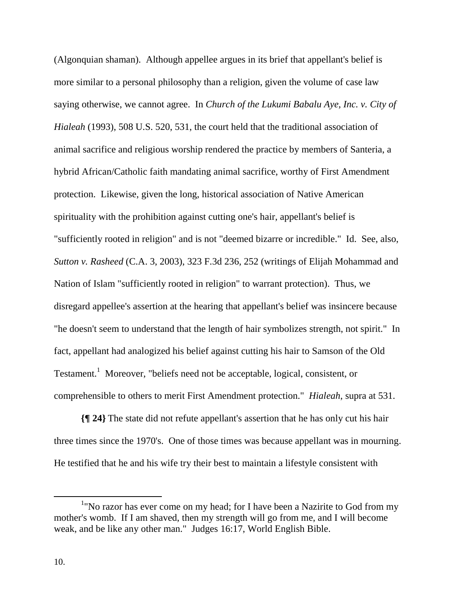(Algonquian shaman). Although appellee argues in its brief that appellant's belief is more similar to a personal philosophy than a religion, given the volume of case law saying otherwise, we cannot agree. In *Church of the Lukumi Babalu Aye, Inc. v. City of Hialeah* (1993), 508 U.S. 520, 531, the court held that the traditional association of animal sacrifice and religious worship rendered the practice by members of Santeria, a hybrid African/Catholic faith mandating animal sacrifice, worthy of First Amendment protection. Likewise, given the long, historical association of Native American spirituality with the prohibition against cutting one's hair, appellant's belief is "sufficiently rooted in religion" and is not "deemed bizarre or incredible." Id. See, also, *Sutton v. Rasheed* (C.A. 3, 2003), 323 F.3d 236, 252 (writings of Elijah Mohammad and Nation of Islam "sufficiently rooted in religion" to warrant protection). Thus, we disregard appellee's assertion at the hearing that appellant's belief was insincere because "he doesn't seem to understand that the length of hair symbolizes strength, not spirit." In fact, appellant had analogized his belief against cutting his hair to Samson of the Old Testament.<sup>1</sup> Moreover, "beliefs need not be acceptable, logical, consistent, or comprehensible to others to merit First Amendment protection." *Hialeah*, supra at 531.

**{¶ 24}** The state did not refute appellant's assertion that he has only cut his hair three times since the 1970's. One of those times was because appellant was in mourning. He testified that he and his wife try their best to maintain a lifestyle consistent with

 $\frac{1}{1}$ <sup>1</sup>"No razor has ever come on my head; for I have been a Nazirite to God from my mother's womb. If I am shaved, then my strength will go from me, and I will become weak, and be like any other man." Judges 16:17, World English Bible.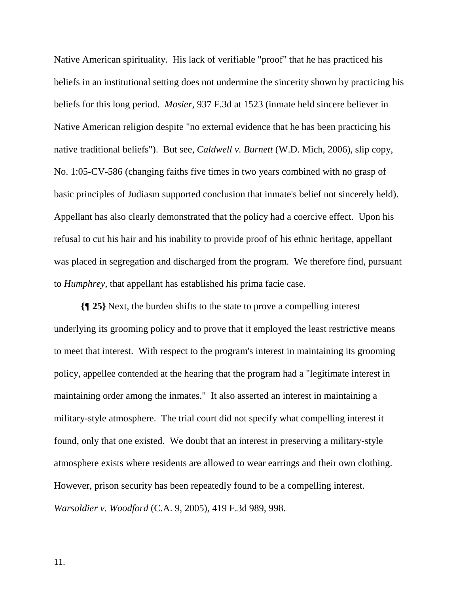Native American spirituality. His lack of verifiable "proof" that he has practiced his beliefs in an institutional setting does not undermine the sincerity shown by practicing his beliefs for this long period. *Mosier*, 937 F.3d at 1523 (inmate held sincere believer in Native American religion despite "no external evidence that he has been practicing his native traditional beliefs"). But see, *Caldwell v. Burnett* (W.D. Mich, 2006), slip copy, No. 1:05-CV-586 (changing faiths five times in two years combined with no grasp of basic principles of Judiasm supported conclusion that inmate's belief not sincerely held). Appellant has also clearly demonstrated that the policy had a coercive effect. Upon his refusal to cut his hair and his inability to provide proof of his ethnic heritage, appellant was placed in segregation and discharged from the program. We therefore find, pursuant to *Humphrey*, that appellant has established his prima facie case.

**{¶ 25}** Next, the burden shifts to the state to prove a compelling interest underlying its grooming policy and to prove that it employed the least restrictive means to meet that interest. With respect to the program's interest in maintaining its grooming policy, appellee contended at the hearing that the program had a "legitimate interest in maintaining order among the inmates." It also asserted an interest in maintaining a military-style atmosphere. The trial court did not specify what compelling interest it found, only that one existed. We doubt that an interest in preserving a military-style atmosphere exists where residents are allowed to wear earrings and their own clothing. However, prison security has been repeatedly found to be a compelling interest. *Warsoldier v. Woodford* (C.A. 9, 2005), 419 F.3d 989, 998.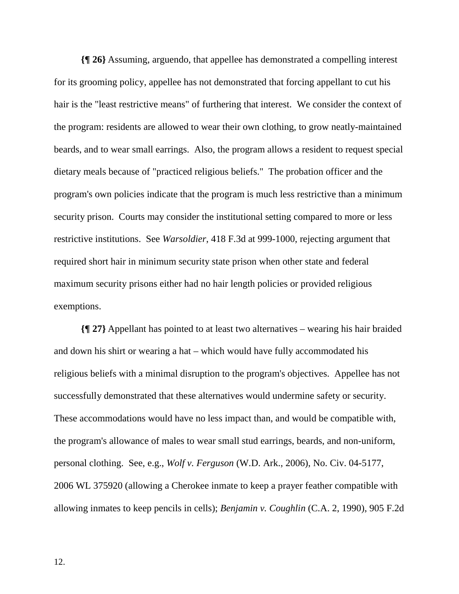**{¶ 26}** Assuming, arguendo, that appellee has demonstrated a compelling interest for its grooming policy, appellee has not demonstrated that forcing appellant to cut his hair is the "least restrictive means" of furthering that interest. We consider the context of the program: residents are allowed to wear their own clothing, to grow neatly-maintained beards, and to wear small earrings. Also, the program allows a resident to request special dietary meals because of "practiced religious beliefs." The probation officer and the program's own policies indicate that the program is much less restrictive than a minimum security prison. Courts may consider the institutional setting compared to more or less restrictive institutions. See *Warsoldier*, 418 F.3d at 999-1000, rejecting argument that required short hair in minimum security state prison when other state and federal maximum security prisons either had no hair length policies or provided religious exemptions.

**{¶ 27}** Appellant has pointed to at least two alternatives – wearing his hair braided and down his shirt or wearing a hat – which would have fully accommodated his religious beliefs with a minimal disruption to the program's objectives. Appellee has not successfully demonstrated that these alternatives would undermine safety or security. These accommodations would have no less impact than, and would be compatible with, the program's allowance of males to wear small stud earrings, beards, and non-uniform, personal clothing. See, e.g., *Wolf v. Ferguson* (W.D. Ark., 2006), No. Civ. 04-5177, 2006 WL 375920 (allowing a Cherokee inmate to keep a prayer feather compatible with allowing inmates to keep pencils in cells); *Benjamin v. Coughlin* (C.A. 2, 1990), 905 F.2d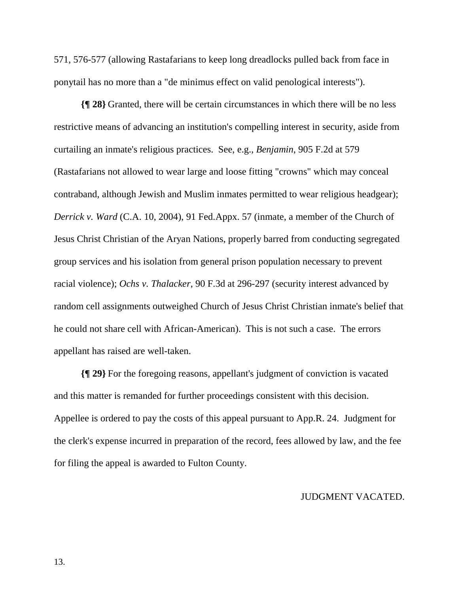571, 576-577 (allowing Rastafarians to keep long dreadlocks pulled back from face in ponytail has no more than a "de minimus effect on valid penological interests").

**{¶ 28}** Granted, there will be certain circumstances in which there will be no less restrictive means of advancing an institution's compelling interest in security, aside from curtailing an inmate's religious practices. See, e.g., *Benjamin*, 905 F.2d at 579 (Rastafarians not allowed to wear large and loose fitting "crowns" which may conceal contraband, although Jewish and Muslim inmates permitted to wear religious headgear); *Derrick v. Ward* (C.A. 10, 2004), 91 Fed.Appx. 57 (inmate, a member of the Church of Jesus Christ Christian of the Aryan Nations, properly barred from conducting segregated group services and his isolation from general prison population necessary to prevent racial violence); *Ochs v. Thalacker*, 90 F.3d at 296-297 (security interest advanced by random cell assignments outweighed Church of Jesus Christ Christian inmate's belief that he could not share cell with African-American). This is not such a case. The errors appellant has raised are well-taken.

**{¶ 29}** For the foregoing reasons, appellant's judgment of conviction is vacated and this matter is remanded for further proceedings consistent with this decision. Appellee is ordered to pay the costs of this appeal pursuant to App.R. 24. Judgment for the clerk's expense incurred in preparation of the record, fees allowed by law, and the fee for filing the appeal is awarded to Fulton County.

## JUDGMENT VACATED.